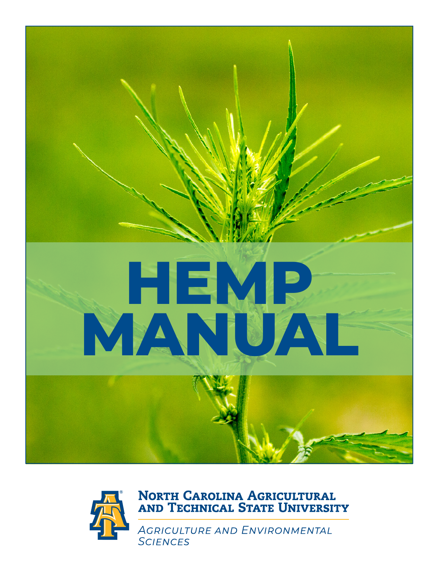

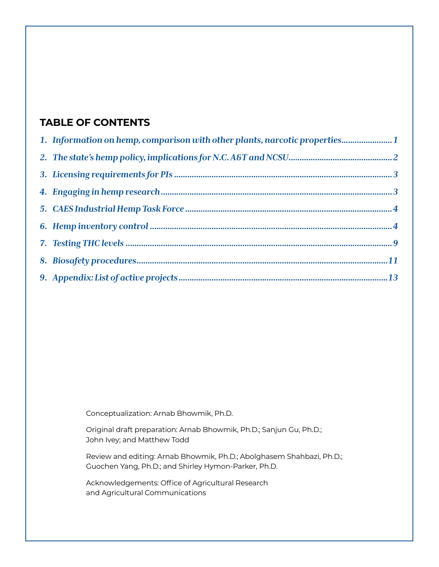# **TABLE OF CONTENTS**

| 1. Information on hemp, comparison with other plants, narcotic properties1 |  |
|----------------------------------------------------------------------------|--|
|                                                                            |  |
|                                                                            |  |
|                                                                            |  |
|                                                                            |  |
|                                                                            |  |
|                                                                            |  |
|                                                                            |  |
|                                                                            |  |

Conceptualization: Arnab Bhowmik, Ph.D.

Original draft preparation: Arnab Bhowmik, Ph.D.; Sanjun Gu, Ph.D.; John Ivey; and Matthew Todd

Review and editing: Arnab Bhowmik, Ph.D.; Abolghasem Shahbazi, Ph.D.; Guochen Yang, Ph.D.; and Shirley Hymon-Parker, Ph.D.

Acknowledgements: Office of Agricultural Research and Agricultural Communications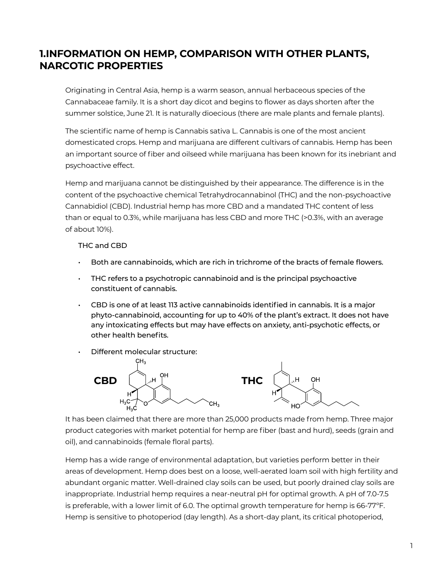# **1.INFORMATION ON HEMP, COMPARISON WITH OTHER PLANTS, NARCOTIC PROPERTIES**

Originating in Central Asia, hemp is a warm season, annual herbaceous species of the Cannabaceae family. It is a short day dicot and begins to flower as days shorten after the summer solstice, June 21. It is naturally dioecious (there are male plants and female plants).

The scientific name of hemp is Cannabis sativa L. Cannabis is one of the most ancient domesticated crops. Hemp and marijuana are different cultivars of cannabis. Hemp has been an important source of fiber and oilseed while marijuana has been known for its inebriant and psychoactive effect.

Hemp and marijuana cannot be distinguished by their appearance. The difference is in the content of the psychoactive chemical Tetrahydrocannabinol (THC) and the non-psychoactive Cannabidiol (CBD). Industrial hemp has more CBD and a mandated THC content of less than or equal to 0.3%, while marijuana has less CBD and more THC (>0.3%, with an average of about 10%).

THC and CBD

- Both are cannabinoids, which are rich in trichrome of the bracts of female flowers.
- THC refers to a psychotropic cannabinoid and is the principal psychoactive constituent of cannabis.
- $\cdot$  CBD is one of at least 113 active cannabinoids identified in cannabis. It is a major phyto-cannabinoid, accounting for up to 40% of the plant's extract. It does not have any intoxicating effects but may have effects on anxiety, anti-psychotic effects, or other health benefits.
- Different molecular structure:



It has been claimed that there are more than 25,000 products made from hemp. Three major product categories with market potential for hemp are fiber (bast and hurd), seeds (grain and oil), and cannabinoids (female floral parts).

Hemp has a wide range of environmental adaptation, but varieties perform better in their areas of development. Hemp does best on a loose, well-aerated loam soil with high fertility and abundant organic matter. Well-drained clay soils can be used, but poorly drained clay soils are inappropriate. Industrial hemp requires a near-neutral pH for optimal growth. A pH of 7.0-7.5 is preferable, with a lower limit of 6.0. The optimal growth temperature for hemp is 66-77ºF. Hemp is sensitive to photoperiod (day length). As a short-day plant, its critical photoperiod,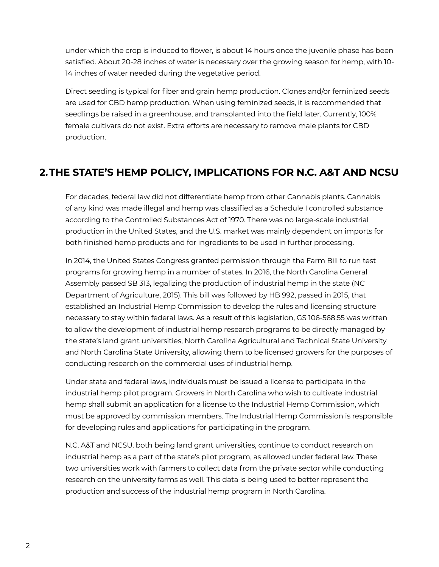under which the crop is induced to flower, is about 14 hours once the juvenile phase has been satisfied. About 20-28 inches of water is necessary over the growing season for hemp, with 10- 14 inches of water needed during the vegetative period.

Direct seeding is typical for fiber and grain hemp production. Clones and/or feminized seeds are used for CBD hemp production. When using feminized seeds, it is recommended that seedlings be raised in a greenhouse, and transplanted into the field later. Currently, 100% female cultivars do not exist. Extra efforts are necessary to remove male plants for CBD production.

# **2.THE STATE'S HEMP POLICY, IMPLICATIONS FOR N.C. A&T AND NCSU**

For decades, federal law did not differentiate hemp from other Cannabis plants. Cannabis of any kind was made illegal and hemp was classified as a Schedule I controlled substance according to the Controlled Substances Act of 1970. There was no large-scale industrial production in the United States, and the U.S. market was mainly dependent on imports for both finished hemp products and for ingredients to be used in further processing.

In 2014, the United States Congress granted permission through the Farm Bill to run test programs for growing hemp in a number of states. In 2016, the North Carolina General Assembly passed SB 313, legalizing the production of industrial hemp in the state (NC Department of Agriculture, 2015). This bill was followed by HB 992, passed in 2015, that established an Industrial Hemp Commission to develop the rules and licensing structure necessary to stay within federal laws. As a result of this legislation, GS 106-568.55 was written to allow the development of industrial hemp research programs to be directly managed by the state's land grant universities, North Carolina Agricultural and Technical State University and North Carolina State University, allowing them to be licensed growers for the purposes of conducting research on the commercial uses of industrial hemp.

Under state and federal laws, individuals must be issued a license to participate in the industrial hemp pilot program. Growers in North Carolina who wish to cultivate industrial hemp shall submit an application for a license to the Industrial Hemp Commission, which must be approved by commission members. The Industrial Hemp Commission is responsible for developing rules and applications for participating in the program.

N.C. A&T and NCSU, both being land grant universities, continue to conduct research on industrial hemp as a part of the state's pilot program, as allowed under federal law. These two universities work with farmers to collect data from the private sector while conducting research on the university farms as well. This data is being used to better represent the production and success of the industrial hemp program in North Carolina.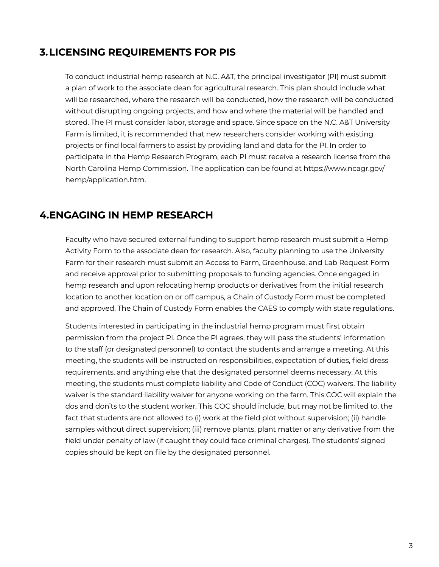# **3.LICENSING REQUIREMENTS FOR PIS**

To conduct industrial hemp research at N.C. A&T, the principal investigator (PI) must submit a plan of work to the associate dean for agricultural research. This plan should include what will be researched, where the research will be conducted, how the research will be conducted without disrupting ongoing projects, and how and where the material will be handled and stored. The PI must consider labor, storage and space. Since space on the N.C. A&T University Farm is limited, it is recommended that new researchers consider working with existing projects or find local farmers to assist by providing land and data for the PI. In order to participate in the Hemp Research Program, each PI must receive a research license from the North Carolina Hemp Commission. The application can be found at https://www.ncagr.gov/ hemp/application.htm.

## **4.ENGAGING IN HEMP RESEARCH**

Faculty who have secured external funding to support hemp research must submit a Hemp Activity Form to the associate dean for research. Also, faculty planning to use the University Farm for their research must submit an Access to Farm, Greenhouse, and Lab Request Form and receive approval prior to submitting proposals to funding agencies. Once engaged in hemp research and upon relocating hemp products or derivatives from the initial research location to another location on or off campus, a Chain of Custody Form must be completed and approved. The Chain of Custody Form enables the CAES to comply with state regulations.

Students interested in participating in the industrial hemp program must first obtain permission from the project PI. Once the PI agrees, they will pass the students' information to the staff (or designated personnel) to contact the students and arrange a meeting. At this meeting, the students will be instructed on responsibilities, expectation of duties, field dress requirements, and anything else that the designated personnel deems necessary. At this meeting, the students must complete liability and Code of Conduct (COC) waivers. The liability waiver is the standard liability waiver for anyone working on the farm. This COC will explain the dos and don'ts to the student worker. This COC should include, but may not be limited to, the fact that students are not allowed to (i) work at the field plot without supervision; (ii) handle samples without direct supervision; (iii) remove plants, plant matter or any derivative from the field under penalty of law (if caught they could face criminal charges). The students' signed copies should be kept on file by the designated personnel.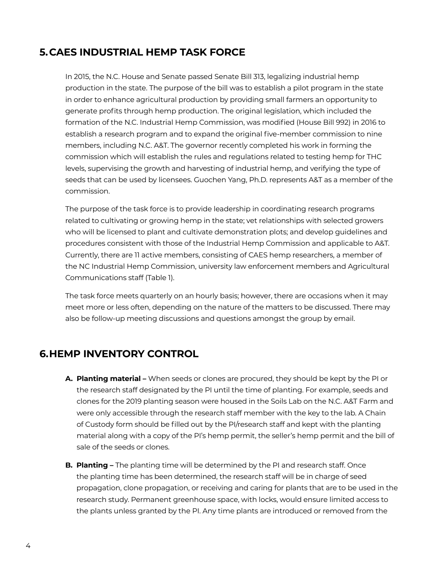# **5.CAES INDUSTRIAL HEMP TASK FORCE**

In 2015, the N.C. House and Senate passed Senate Bill 313, legalizing industrial hemp production in the state. The purpose of the bill was to establish a pilot program in the state in order to enhance agricultural production by providing small farmers an opportunity to generate profits through hemp production. The original legislation, which included the formation of the N.C. Industrial Hemp Commission, was modified (House Bill 992) in 2016 to establish a research program and to expand the original five-member commission to nine members, including N.C. A&T. The governor recently completed his work in forming the commission which will establish the rules and regulations related to testing hemp for THC levels, supervising the growth and harvesting of industrial hemp, and verifying the type of seeds that can be used by licensees. Guochen Yang, Ph.D. represents A&T as a member of the commission.

The purpose of the task force is to provide leadership in coordinating research programs related to cultivating or growing hemp in the state; vet relationships with selected growers who will be licensed to plant and cultivate demonstration plots; and develop guidelines and procedures consistent with those of the Industrial Hemp Commission and applicable to A&T. Currently, there are 11 active members, consisting of CAES hemp researchers, a member of the NC Industrial Hemp Commission, university law enforcement members and Agricultural Communications staff (Table 1).

The task force meets quarterly on an hourly basis; however, there are occasions when it may meet more or less often, depending on the nature of the matters to be discussed. There may also be follow-up meeting discussions and questions amongst the group by email.

## **6.HEMP INVENTORY CONTROL**

- **A. Planting material** When seeds or clones are procured, they should be kept by the PI or the research staff designated by the PI until the time of planting. For example, seeds and clones for the 2019 planting season were housed in the Soils Lab on the N.C. A&T Farm and were only accessible through the research staff member with the key to the lab. A Chain of Custody form should be filled out by the PI/research staff and kept with the planting material along with a copy of the PI's hemp permit, the seller's hemp permit and the bill of sale of the seeds or clones.
- **B. Planting -** The planting time will be determined by the PI and research staff. Once the planting time has been determined, the research staff will be in charge of seed propagation, clone propagation, or receiving and caring for plants that are to be used in the research study. Permanent greenhouse space, with locks, would ensure limited access to the plants unless granted by the PI. Any time plants are introduced or removed from the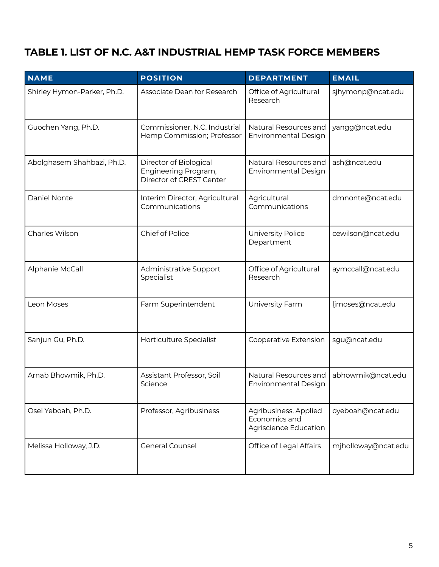# **TABLE 1. LIST OF N.C. A&T INDUSTRIAL HEMP TASK FORCE MEMBERS**

| <b>NAME</b>                 | <b>POSITION</b>                                                            | <b>DEPARTMENT</b>                                               | <b>EMAIL</b>        |
|-----------------------------|----------------------------------------------------------------------------|-----------------------------------------------------------------|---------------------|
| Shirley Hymon-Parker, Ph.D. | Associate Dean for Research                                                | Office of Agricultural<br>Research                              | sjhymonp@ncat.edu   |
| Guochen Yang, Ph.D.         | Commissioner, N.C. Industrial<br>Hemp Commission; Professor                | Natural Resources and<br><b>Environmental Design</b>            | yangg@ncat.edu      |
| Abolghasem Shahbazi, Ph.D.  | Director of Biological<br>Engineering Program,<br>Director of CREST Center | Natural Resources and<br><b>Environmental Design</b>            | ash@ncat.edu        |
| Daniel Nonte                | Interim Director, Agricultural<br>Communications                           | Agricultural<br>Communications                                  | dmnonte@ncat.edu    |
| Charles Wilson              | Chief of Police                                                            | University Police<br>Department                                 | cewilson@ncat.edu   |
| Alphanie McCall             | Administrative Support<br>Specialist                                       | Office of Agricultural<br>Research                              | aymccall@ncat.edu   |
| Leon Moses                  | Farm Superintendent                                                        | University Farm                                                 | ljmoses@ncat.edu    |
| Sanjun Gu, Ph.D.            | Horticulture Specialist                                                    | Cooperative Extension                                           | sgu@ncat.edu        |
| Arnab Bhowmik, Ph.D.        | Assistant Professor, Soil<br>Science                                       | Natural Resources and<br><b>Environmental Design</b>            | abhowmik@ncat.edu   |
| Osei Yeboah, Ph.D.          | Professor, Agribusiness                                                    | Agribusiness, Applied<br>Economics and<br>Agriscience Education | oyeboah@ncat.edu    |
| Melissa Holloway, J.D.      | <b>General Counsel</b>                                                     | Office of Legal Affairs                                         | mjholloway@ncat.edu |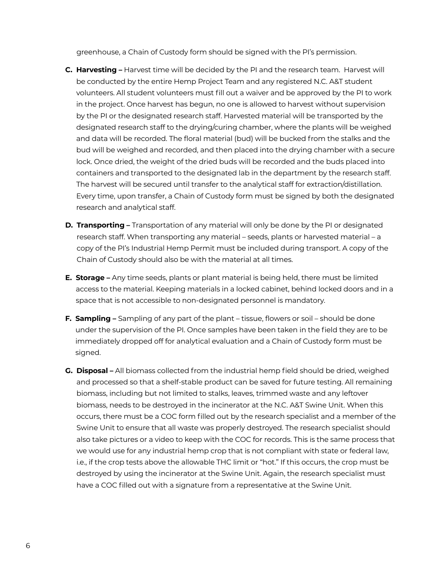greenhouse, a Chain of Custody form should be signed with the PI's permission.

- **C. Harvesting –** Harvest time will be decided by the PI and the research team. Harvest will be conducted by the entire Hemp Project Team and any registered N.C. A&T student volunteers. All student volunteers must fill out a waiver and be approved by the PI to work in the project. Once harvest has begun, no one is allowed to harvest without supervision by the PI or the designated research staff. Harvested material will be transported by the designated research staff to the drying/curing chamber, where the plants will be weighed and data will be recorded. The floral material (bud) will be bucked from the stalks and the bud will be weighed and recorded, and then placed into the drying chamber with a secure lock. Once dried, the weight of the dried buds will be recorded and the buds placed into containers and transported to the designated lab in the department by the research staff. The harvest will be secured until transfer to the analytical staff for extraction/distillation. Every time, upon transfer, a Chain of Custody form must be signed by both the designated research and analytical staff.
- **D. Transporting** Transportation of any material will only be done by the PI or designated research staff. When transporting any material – seeds, plants or harvested material – a copy of the PI's Industrial Hemp Permit must be included during transport. A copy of the Chain of Custody should also be with the material at all times.
- **E. Storage –** Any time seeds, plants or plant material is being held, there must be limited access to the material. Keeping materials in a locked cabinet, behind locked doors and in a space that is not accessible to non-designated personnel is mandatory.
- **F. Sampling** Sampling of any part of the plant tissue, flowers or soil should be done under the supervision of the PI. Once samples have been taken in the field they are to be immediately dropped off for analytical evaluation and a Chain of Custody form must be signed.
- **G. Disposal –** All biomass collected from the industrial hemp field should be dried, weighed and processed so that a shelf-stable product can be saved for future testing. All remaining biomass, including but not limited to stalks, leaves, trimmed waste and any leftover biomass, needs to be destroyed in the incinerator at the N.C. A&T Swine Unit. When this occurs, there must be a COC form filled out by the research specialist and a member of the Swine Unit to ensure that all waste was properly destroyed. The research specialist should also take pictures or a video to keep with the COC for records. This is the same process that we would use for any industrial hemp crop that is not compliant with state or federal law, i.e., if the crop tests above the allowable THC limit or "hot." If this occurs, the crop must be destroyed by using the incinerator at the Swine Unit. Again, the research specialist must have a COC filled out with a signature from a representative at the Swine Unit.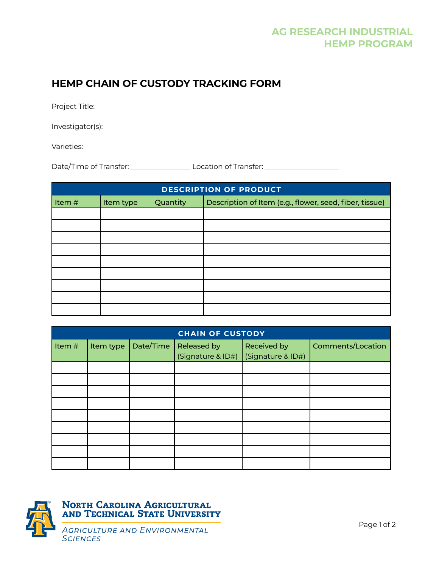# **HEMP CHAIN OF CUSTODY TRACKING FORM**

Project Title:

Investigator(s):

Varieties: \_\_\_\_\_\_\_\_\_\_\_\_\_\_\_\_\_\_\_\_\_\_\_\_\_\_\_\_\_\_\_\_\_\_\_\_\_\_\_\_\_\_\_\_\_\_\_\_\_\_\_\_\_\_\_\_\_\_\_\_\_\_\_\_\_\_\_\_

Date/Time of Transfer: \_\_\_\_\_\_\_\_\_\_\_\_\_\_\_\_\_ Location of Transfer: \_\_\_\_\_\_\_\_\_\_\_\_\_\_\_\_\_\_\_\_\_

| <b>DESCRIPTION OF PRODUCT</b>  |  |  |                                                         |  |
|--------------------------------|--|--|---------------------------------------------------------|--|
| Quantity<br>Item#<br>Item type |  |  | Description of Item (e.g., flower, seed, fiber, tissue) |  |
|                                |  |  |                                                         |  |
|                                |  |  |                                                         |  |
|                                |  |  |                                                         |  |
|                                |  |  |                                                         |  |
|                                |  |  |                                                         |  |
|                                |  |  |                                                         |  |
|                                |  |  |                                                         |  |
|                                |  |  |                                                         |  |
|                                |  |  |                                                         |  |

| <b>CHAIN OF CUSTODY</b> |           |           |                                  |                                  |                          |  |
|-------------------------|-----------|-----------|----------------------------------|----------------------------------|--------------------------|--|
| Item#                   | Item type | Date/Time | Released by<br>(Signature & ID#) | Received by<br>(Signature & ID#) | <b>Comments/Location</b> |  |
|                         |           |           |                                  |                                  |                          |  |
|                         |           |           |                                  |                                  |                          |  |
|                         |           |           |                                  |                                  |                          |  |
|                         |           |           |                                  |                                  |                          |  |
|                         |           |           |                                  |                                  |                          |  |
|                         |           |           |                                  |                                  |                          |  |
|                         |           |           |                                  |                                  |                          |  |
|                         |           |           |                                  |                                  |                          |  |
|                         |           |           |                                  |                                  |                          |  |

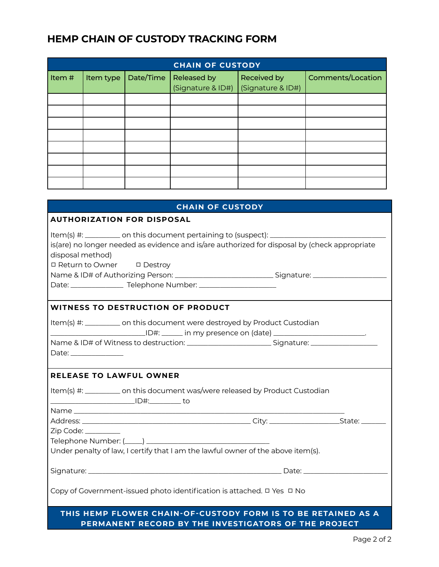# **HEMP CHAIN OF CUSTODY TRACKING FORM**

| <b>CHAIN OF CUSTODY</b> |           |           |                                  |                                  |                   |  |
|-------------------------|-----------|-----------|----------------------------------|----------------------------------|-------------------|--|
| Item#                   | Item type | Date/Time | Released by<br>(Signature & ID#) | Received by<br>(Signature & ID#) | Comments/Location |  |
|                         |           |           |                                  |                                  |                   |  |
|                         |           |           |                                  |                                  |                   |  |
|                         |           |           |                                  |                                  |                   |  |
|                         |           |           |                                  |                                  |                   |  |
|                         |           |           |                                  |                                  |                   |  |
|                         |           |           |                                  |                                  |                   |  |
|                         |           |           |                                  |                                  |                   |  |
|                         |           |           |                                  |                                  |                   |  |

| <b>CHAIN OF CUSTODY</b>                                                                                                                                                                                                                     |  |  |  |  |
|---------------------------------------------------------------------------------------------------------------------------------------------------------------------------------------------------------------------------------------------|--|--|--|--|
| <b>AUTHORIZATION FOR DISPOSAL</b>                                                                                                                                                                                                           |  |  |  |  |
| Item(s) #: __________ on this document pertaining to (suspect): _______________________<br>is(are) no longer needed as evidence and is/are authorized for disposal by (check appropriate<br>disposal method)<br>□ Return to Owner □ Destroy |  |  |  |  |
| <b>WITNESS TO DESTRUCTION OF PRODUCT</b>                                                                                                                                                                                                    |  |  |  |  |
| Item(s) #: _________ on this document were destroyed by Product Custodian<br>Name & ID# of Witness to destruction: ____________________________Signature: _______________________                                                           |  |  |  |  |
| <b>RELEASE TO LAWFUL OWNER</b>                                                                                                                                                                                                              |  |  |  |  |
| Item(s) #: __________ on this document was/were released by Product Custodian                                                                                                                                                               |  |  |  |  |
|                                                                                                                                                                                                                                             |  |  |  |  |
| $Zip Code: \_\_$<br>Under penalty of law, I certify that I am the lawful owner of the above item(s).                                                                                                                                        |  |  |  |  |
|                                                                                                                                                                                                                                             |  |  |  |  |
| Copy of Government-issued photo identification is attached. $\Box$ Yes $\Box$ No                                                                                                                                                            |  |  |  |  |
| THIS HEMP FLOWER CHAIN-OF-CUSTODY FORM IS TO BE RETAINED AS A<br>PERMANENT RECORD BY THE INVESTIGATORS OF THE PROJECT                                                                                                                       |  |  |  |  |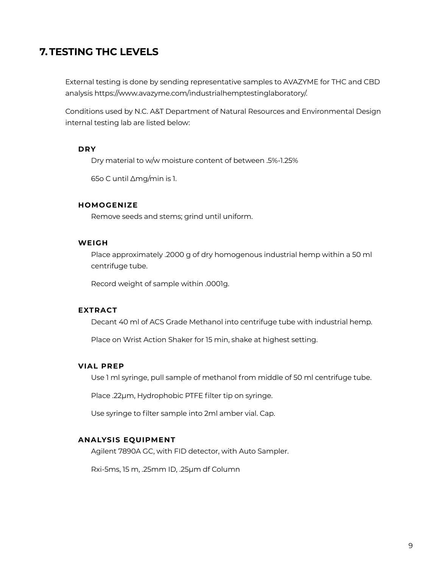# **7.TESTING THC LEVELS**

External testing is done by sending representative samples to AVAZYME for THC and CBD analysis https://www.avazyme.com/industrialhemptestinglaboratory/.

Conditions used by N.C. A&T Department of Natural Resources and Environmental Design internal testing lab are listed below:

#### **DRY**

Dry material to w/w moisture content of between .5%-1.25%

65o C until ∆mg/min is 1.

### **HOMOGENIZE**

Remove seeds and stems; grind until uniform.

#### **WEIGH**

 Place approximately .2000 g of dry homogenous industrial hemp within a 50 ml centrifuge tube.

Record weight of sample within .0001g.

#### **EXTRACT**

Decant 40 ml of ACS Grade Methanol into centrifuge tube with industrial hemp.

Place on Wrist Action Shaker for 15 min, shake at highest setting.

## **VIAL PREP**

Use 1 ml syringe, pull sample of methanol from middle of 50 ml centrifuge tube.

Place .22µm, Hydrophobic PTFE filter tip on syringe.

Use syringe to filter sample into 2ml amber vial. Cap.

#### **ANALYSIS EQUIPMENT**

Agilent 7890A GC, with FID detector, with Auto Sampler.

Rxi-5ms, 15 m, .25mm ID, .25µm df Column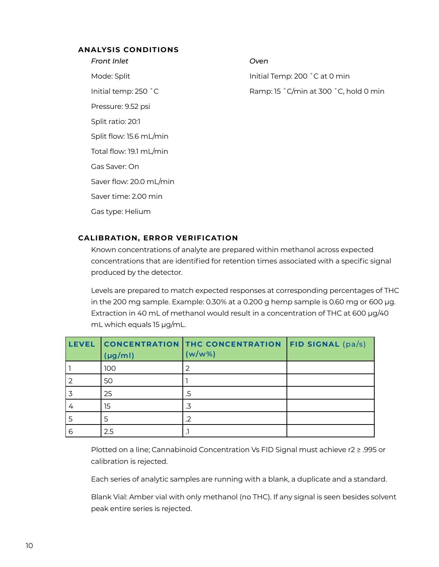### **ANALYSIS CONDITIONS**

*Front Inlet* Mode: Split Initial temp: 250 ˚C Pressure: 9.52 psi Split ratio: 20:1 Split flow: 15.6 mL/min Total flow: 19.1 mL/min Gas Saver: On Saver flow: 20.0 mL/min Saver time: 2.00 min Gas type: Helium

### *Oven*

Initial Temp: 200 ˚C at 0 min Ramp: 15 ˚C/min at 300 ˚C, hold 0 min

## **CALIBRATION, ERROR VERIFICATION**

 Known concentrations of analyte are prepared within methanol across expected concentrations that are identified for retention times associated with a specific signal produced by the detector.

Levels are prepared to match expected responses at corresponding percentages of THC in the 200 mg sample. Example: 0.30% at a 0.200 g hemp sample is 0.60 mg or 600 μg. Extraction in 40 mL of methanol would result in a concentration of THC at 600 μg/40 mL which equals 15 μg/mL.

| <b>LEVEL</b> | $(\mu g/ml)$ | <b>CONCENTRATION THC CONCENTRATION FID SIGNAL (pa/s)</b><br>$(w/w\%)$ |  |
|--------------|--------------|-----------------------------------------------------------------------|--|
|              | 100          | 2                                                                     |  |
|              | 50           |                                                                       |  |
|              | 25           | .5                                                                    |  |
|              | 15           |                                                                       |  |
|              |              | .2                                                                    |  |
| 6            | 2.5          |                                                                       |  |

Plotted on a line; Cannabinoid Concentration Vs FID Signal must achieve r2 ≥ .995 or calibration is rejected.

Each series of analytic samples are running with a blank, a duplicate and a standard.

 Blank Vial: Amber vial with only methanol (no THC). If any signal is seen besides solvent peak entire series is rejected.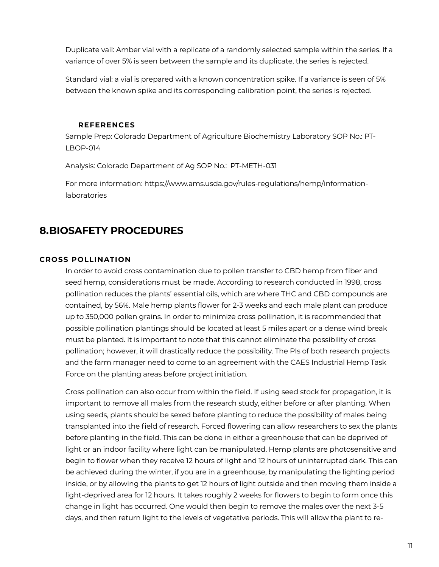Duplicate vail: Amber vial with a replicate of a randomly selected sample within the series. If a variance of over 5% is seen between the sample and its duplicate, the series is rejected.

Standard vial: a vial is prepared with a known concentration spike. If a variance is seen of 5% between the known spike and its corresponding calibration point, the series is rejected.

### **REFERENCES**

Sample Prep: Colorado Department of Agriculture Biochemistry Laboratory SOP No.: PT-LBOP-014

Analysis: Colorado Department of Ag SOP No.: PT-METH-031

For more information: https://www.ams.usda.gov/rules-regulations/hemp/informationlaboratories

## **8.BIOSAFETY PROCEDURES**

### **CROSS POLLINATION**

In order to avoid cross contamination due to pollen transfer to CBD hemp from fiber and seed hemp, considerations must be made. According to research conducted in 1998, cross pollination reduces the plants' essential oils, which are where THC and CBD compounds are contained, by 56%. Male hemp plants flower for 2-3 weeks and each male plant can produce up to 350,000 pollen grains. In order to minimize cross pollination, it is recommended that possible pollination plantings should be located at least 5 miles apart or a dense wind break must be planted. It is important to note that this cannot eliminate the possibility of cross pollination; however, it will drastically reduce the possibility. The PIs of both research projects and the farm manager need to come to an agreement with the CAES Industrial Hemp Task Force on the planting areas before project initiation.

Cross pollination can also occur from within the field. If using seed stock for propagation, it is important to remove all males from the research study, either before or after planting. When using seeds, plants should be sexed before planting to reduce the possibility of males being transplanted into the field of research. Forced flowering can allow researchers to sex the plants before planting in the field. This can be done in either a greenhouse that can be deprived of light or an indoor facility where light can be manipulated. Hemp plants are photosensitive and begin to flower when they receive 12 hours of light and 12 hours of uninterrupted dark. This can be achieved during the winter, if you are in a greenhouse, by manipulating the lighting period inside, or by allowing the plants to get 12 hours of light outside and then moving them inside a light-deprived area for 12 hours. It takes roughly 2 weeks for flowers to begin to form once this change in light has occurred. One would then begin to remove the males over the next 3-5 days, and then return light to the levels of vegetative periods. This will allow the plant to re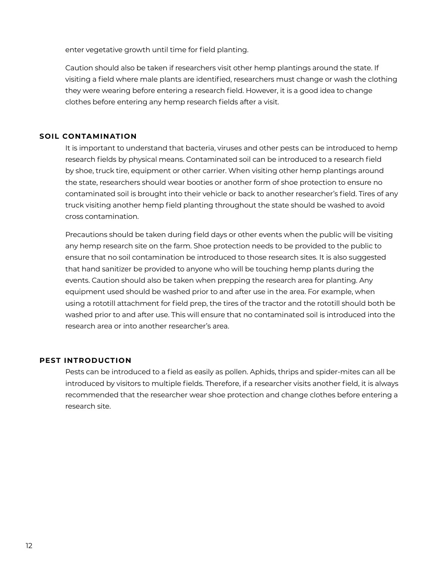enter vegetative growth until time for field planting.

Caution should also be taken if researchers visit other hemp plantings around the state. If visiting a field where male plants are identified, researchers must change or wash the clothing they were wearing before entering a research field. However, it is a good idea to change clothes before entering any hemp research fields after a visit.

### **SOIL CONTAMINATION**

It is important to understand that bacteria, viruses and other pests can be introduced to hemp research fields by physical means. Contaminated soil can be introduced to a research field by shoe, truck tire, equipment or other carrier. When visiting other hemp plantings around the state, researchers should wear booties or another form of shoe protection to ensure no contaminated soil is brought into their vehicle or back to another researcher's field. Tires of any truck visiting another hemp field planting throughout the state should be washed to avoid cross contamination.

Precautions should be taken during field days or other events when the public will be visiting any hemp research site on the farm. Shoe protection needs to be provided to the public to ensure that no soil contamination be introduced to those research sites. It is also suggested that hand sanitizer be provided to anyone who will be touching hemp plants during the events. Caution should also be taken when prepping the research area for planting. Any equipment used should be washed prior to and after use in the area. For example, when using a rototill attachment for field prep, the tires of the tractor and the rototill should both be washed prior to and after use. This will ensure that no contaminated soil is introduced into the research area or into another researcher's area.

#### **PEST INTRODUCTION**

Pests can be introduced to a field as easily as pollen. Aphids, thrips and spider-mites can all be introduced by visitors to multiple fields. Therefore, if a researcher visits another field, it is always recommended that the researcher wear shoe protection and change clothes before entering a research site.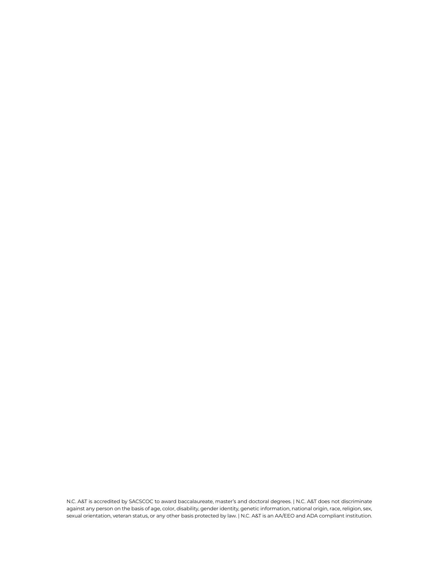N.C. A&T is accredited by SACSCOC to award baccalaureate, master's and doctoral degrees. | N.C. A&T does not discriminate against any person on the basis of age, color, disability, gender identity, genetic information, national origin, race, religion, sex, sexual orientation, veteran status, or any other basis protected by law. | N.C. A&T is an AA/EEO and ADA compliant institution.